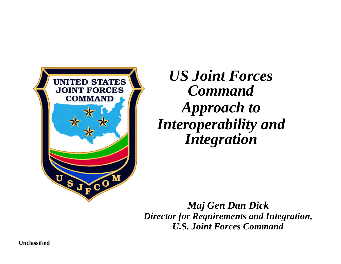

*US Joint Forces Command Approach to Interoperability and Integration*

*Maj Gen Dan Dick Director for Requirements and Integration, U.S. Joint Forces Command*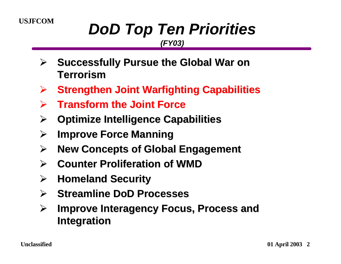# **USJFCOM** *DoD Top Ten Priorities*

#### *(FY03)*

- ÿ **Successfully Pursue the Global War on Terrorism**
- ÿ **Strengthen Joint Warfighting Capabilities**
- **▶ Transform the Joint Force**
- ÿ **Optimize Intelligence Capabilities**
- **▷ Improve Force Manning**
- ÿ **New Concepts of Global Engagement**
- **≽** Counter Proliferation of WMD
- ÿ **Homeland Security**
- ÿ **Streamline DoD Processes**
- ÿ **Improve Interagency Focus, Process and Integration**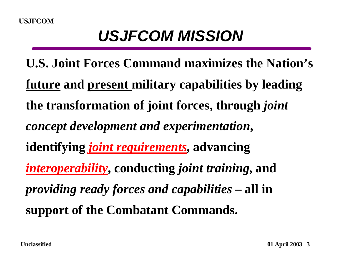## *USJFCOM MISSION*

**U.S. Joint Forces Command maximizes the Nation's future and present military capabilities by leading future and present military capabilities by leadingthe transformation of joint forces, through** *joint* **the transformation of joint forces, through** *joint concept development and experimentation***,** *concept development and experimentation***, identifying** *joint requirements***, advancing identifying** *joint requirements***, advancing** *interoperability***, conducting** *joint training***, and** *providing ready forces and capabilities* **– all in** *providing ready forces and capabilities* **– all in support of the Combatant Commands. support of the Combatant Commands.**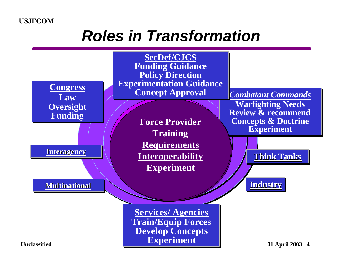## *Roles in Transformation*

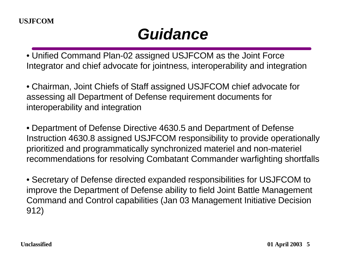## *Guidance*

• Unified Command Plan-02 assigned USJFCOM as the Joint Force Integrator and chief advocate for jointness, interoperability and integration

• Chairman, Joint Chiefs of Staff assigned USJFCOM chief advocate for assessing all Department of Defense requirement documents for interoperability and integration

• Department of Defense Directive 4630.5 and Department of Defense Instruction 4630.8 assigned USJFCOM responsibility to provide operationally prioritized and programmatically synchronized materiel and non-materiel recommendations for resolving Combatant Commander warfighting shortfalls

• Secretary of Defense directed expanded responsibilities for USJFCOM to improve the Department of Defense ability to field Joint Battle Management Command and Control capabilities (Jan 03 Management Initiative Decision 912)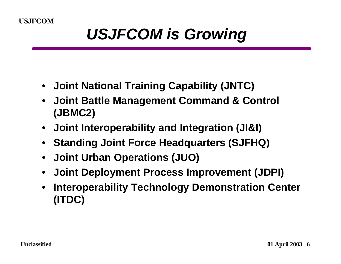## *USJFCOM is Growing*

- **Joint National Training Capability (JNTC)**
- **Joint Battle Management Command & Control (JBMC2)**
- **Joint Interoperability and Integration (JI&I)**
- **Standing Joint Force Headquarters (SJFHQ)**
- **Joint Urban Operations (JUO)**
- **Joint Deployment Process Improvement (JDPI)**
- **Interoperability Technology Demonstration Center (ITDC)**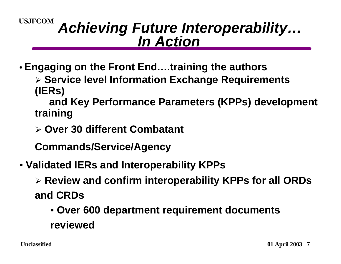#### *Achieving Future Interoperability… In Action*

- **Engaging on the Front End….training the authors**
	- ÿ **Service level Information Exchange Requirements (IERs)**
	- **and Key Performance Parameters (KPPs) development training**
	- ÿ **Over 30 different Combatant**
	- **Commands/Service/Agency**
- • **Validated IERs and Interoperability KPPs**
	- ÿ **Review and confirm interoperability KPPs for all ORDs and CRDs**
		- • **Over 600 department requirement documents reviewed**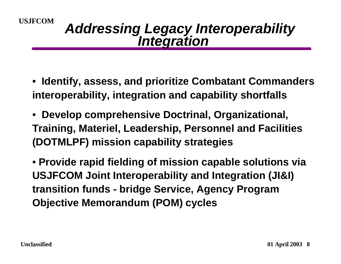#### *Addressing Legacy Interoperability Integration*

- **Identify, assess, and prioritize Combatant Commanders interoperability, integration and capability shortfalls**
- • **Develop comprehensive Doctrinal, Organizational, Training, Materiel, Leadership, Personnel and Facilities (DOTMLPF) mission capability strategies**

• **Provide rapid fielding of mission capable solutions via USJFCOM Joint Interoperability and Integration (JI&I) transition funds - bridge Service, Agency Program Objective Memorandum (POM) cycles**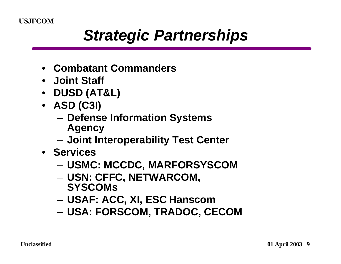## *Strategic Partnerships*

- **Combatant Commanders**
- **Joint Staff**
- **DUSD (AT&L)**
- **ASD (C3I)**
	- **Defense Information Systems Agency**
	- **Joint Interoperability Test Center**
- **Services**
	- **USMC: MCCDC, MARFORSYSCOM**
	- **USN: CFFC, NETWARCOM, SYSCOMs**
	- **USAF: ACC, XI, ESC Hanscom**
	- **USA: FORSCOM, TRADOC, CECOM**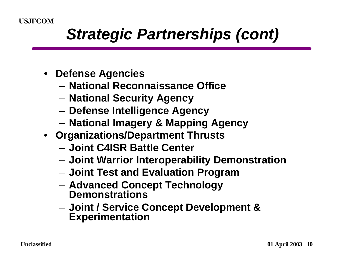## *Strategic Partnerships (cont)*

- **Defense Agencies**
	- **National Reconnaissance Office**
	- **National Security Agency**
	- **Defense Intelligence Agency**
	- **National Imagery & Mapping Agency**
- **Organizations/Department Thrusts**
	- **Joint C4ISR Battle Center**
	- **Joint Warrior Interoperability Demonstration**
	- **Joint Test and Evaluation Program**
	- **Advanced Concept Technology Demonstrations**
	- **Joint / Service Concept Development & Experimentation**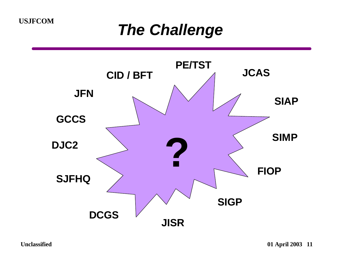### *The Challenge*

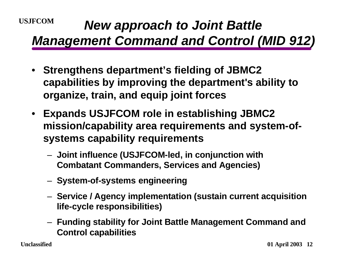#### **USJFCOM** *New approach to Joint Battle Management Command and Control (MID 912)*

- **Strengthens department's fielding of JBMC2 capabilities by improving the department's ability to organize, train, and equip joint forces**
- **Expands USJFCOM role in establishing JBMC2 mission/capability area requirements and system-ofsystems capability requirements**
	- **Joint influence (USJFCOM-led, in conjunction with Combatant Commanders, Services and Agencies)**
	- **System-of-systems engineering**
	- **Service / Agency implementation (sustain current acquisition life-cycle responsibilities)**
	- **Funding stability for Joint Battle Management Command and Control capabilities**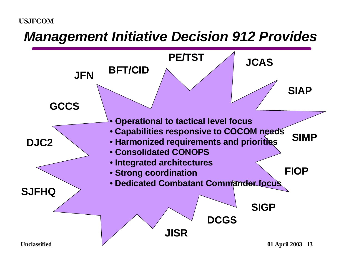#### *Management Initiative Decision 912 Provides*

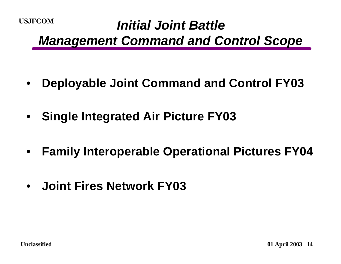### **USJFCOM** *Initial Joint Battle Management Command and Control Scope*

- **Deployable Joint Command and Control FY03**
- **Single Integrated Air Picture FY03**
- **Family Interoperable Operational Pictures FY04**
- **Joint Fires Network FY03**

**Unclassified 01 April 2003** 14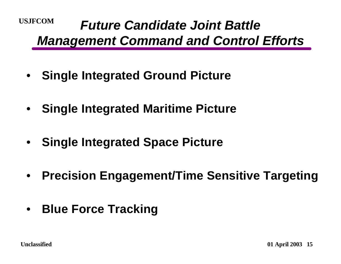#### **USJFCOM** *Future Candidate Joint Battle Management Command and Control Efforts*

- **Single Integrated Ground Picture**
- **Single Integrated Maritime Picture**
- **Single Integrated Space Picture**
- **Precision Engagement/Time Sensitive Targeting**
- **Blue Force Tracking**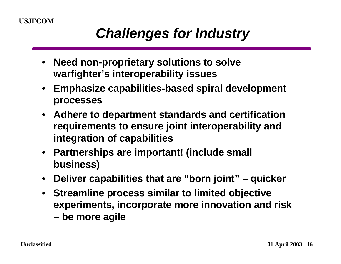### *Challenges for Industry*

- **Need non-proprietary solutions to solve warfighter's interoperability issues**
- **Emphasize capabilities-based spiral development processes**
- **Adhere to department standards and certification requirements to ensure joint interoperability and integration of capabilities**
- **Partnerships are important! (include small business)**
- **Deliver capabilities that are "born joint" quicker**
- **Streamline process similar to limited objective experiments, incorporate more innovation and risk – be more agile**